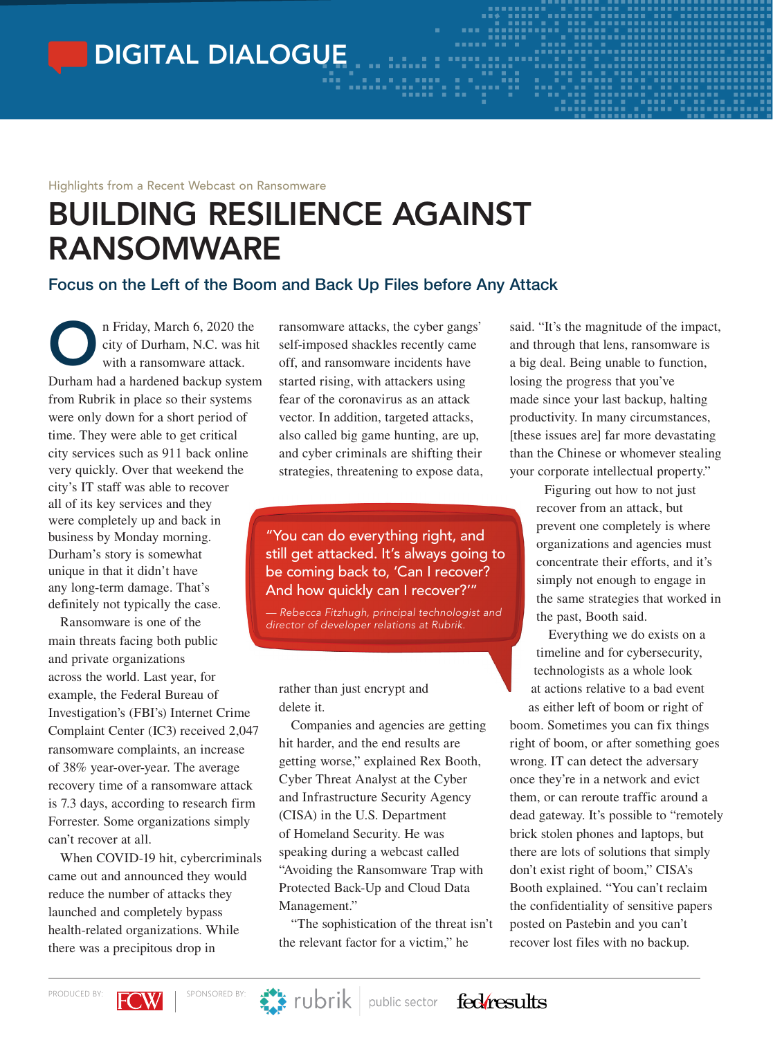DIGITAL DIALOGUE

#### Highlights from a Recent Webcast on Ransomware

# BUILDING RESILIENCE AGAINST RANSOMWARE

## Focus on the Left of the Boom and Back Up Files before Any Attack

n Friday, March 6, 2020 the<br>city of Durham, N.C. was hit<br>with a ransomware attack. city of Durham, N.C. was hit with a ransomware attack. Durham had a hardened backup system from Rubrik in place so their systems were only down for a short period of time. They were able to get critical city services such as 911 back online very quickly. Over that weekend the city's IT staff was able to recover all of its key services and they were completely up and back in business by Monday morning. Durham's story is somewhat unique in that it didn't have any long-term damage. That's definitely not typically the case.

Ransomware is one of the main threats facing both public and private organizations across the world. Last year, for example, the Federal Bureau of Investigation's (FBI's) Internet Crime Complaint Center (IC3) received 2,047 ransomware complaints, an increase of 38% year-over-year. The average recovery time of a ransomware attack is 7.3 days, according to research firm Forrester. Some organizations simply can't recover at all.

When COVID-19 hit, cybercriminals came out and announced they would reduce the number of attacks they launched and completely bypass health-related organizations. While there was a precipitous drop in

ransomware attacks, the cyber gangs' self-imposed shackles recently came off, and ransomware incidents have started rising, with attackers using fear of the coronavirus as an attack vector. In addition, targeted attacks, also called big game hunting, are up, and cyber criminals are shifting their strategies, threatening to expose data,

"You can do everything right, and still get attacked. It's always going to be coming back to, 'Can I recover? And how quickly can I recover?'"

*— Rebecca Fitzhugh, principal technologist and director of developer relations at Rubrik.*

rather than just encrypt and delete it.

Companies and agencies are getting hit harder, and the end results are getting worse," explained Rex Booth, Cyber Threat Analyst at the Cyber and Infrastructure Security Agency (CISA) in the U.S. Department of Homeland Security. He was speaking during a webcast called "Avoiding the Ransomware Trap with Protected Back-Up and Cloud Data Management."

"The sophistication of the threat isn't the relevant factor for a victim," he

said. "It's the magnitude of the impact, and through that lens, ransomware is a big deal. Being unable to function, losing the progress that you've made since your last backup, halting productivity. In many circumstances, [these issues are] far more devastating than the Chinese or whomever stealing your corporate intellectual property."

> Figuring out how to not just recover from an attack, but prevent one completely is where organizations and agencies must concentrate their efforts, and it's simply not enough to engage in the same strategies that worked in the past, Booth said.

Everything we do exists on a timeline and for cybersecurity, technologists as a whole look at actions relative to a bad event as either left of boom or right of

boom. Sometimes you can fix things right of boom, or after something goes wrong. IT can detect the adversary once they're in a network and evict them, or can reroute traffic around a dead gateway. It's possible to "remotely brick stolen phones and laptops, but there are lots of solutions that simply don't exist right of boom," CISA's Booth explained. "You can't reclaim the confidentiality of sensitive papers posted on Pastebin and you can't recover lost files with no backup.